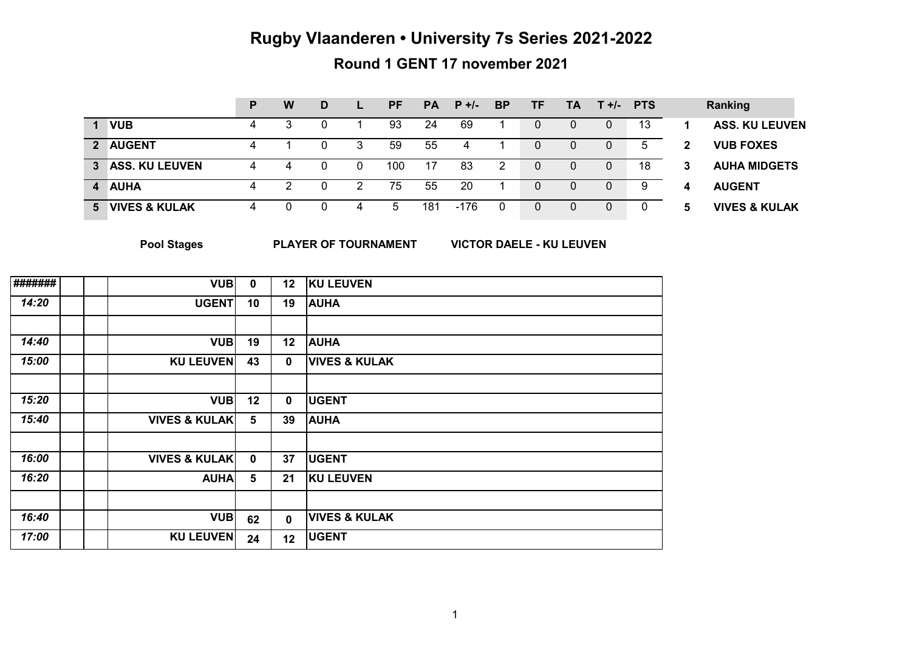# **Rugby Vlaanderen • University 7s Series 2021-2022**

# **Round 1 GENT 17 november 2021**

|                |                          | D | W | D |   | <b>PF</b> | <b>PA</b> | $P +/-$ | <b>BP</b> | TF. | <b>TA</b> | $T +$ /- PTS |    |   | Ranking                  |
|----------------|--------------------------|---|---|---|---|-----------|-----------|---------|-----------|-----|-----------|--------------|----|---|--------------------------|
|                | <b>VUB</b>               | 4 |   |   |   | 93        | 24        | 69      |           | 0   |           |              | 13 |   | <b>ASS. KU LEUVEN</b>    |
| $\overline{2}$ | <b>AUGENT</b>            |   |   |   |   | 59        | 55        |         |           |     |           |              |    | 2 | <b>VUB FOXES</b>         |
| 3              | <b>ASS. KU LEUVEN</b>    | 4 |   |   |   | 100       | 17        | 83      | 2         |     |           |              | 18 | 3 | <b>AUHA MIDGETS</b>      |
| 4              | <b>AUHA</b>              |   | n |   | ົ | 75        | 55        | 20      |           |     |           |              | 9  | 4 | <b>AUGENT</b>            |
| 5              | <b>VIVES &amp; KULAK</b> | 4 |   |   |   |           | 181       | $-176$  | 0         |     |           |              |    | 5 | <b>VIVES &amp; KULAK</b> |

**Pool Stages** 

**PLAYER OF TOURNAMENT VICTOR DAELE - KU LEUVEN**

| ####### | <b>VUB</b>               | $\mathbf 0$     | 12           | <b>KU LEUVEN</b>         |  |
|---------|--------------------------|-----------------|--------------|--------------------------|--|
| 14:20   | <b>UGENT</b>             | 10              | 19           | <b>AUHA</b>              |  |
|         |                          |                 |              |                          |  |
| 14:40   | <b>VUB</b>               | 19              | 12           | <b>AUHA</b>              |  |
| 15:00   | <b>KU LEUVEN</b>         | 43              | $\mathbf{0}$ | <b>VIVES &amp; KULAK</b> |  |
|         |                          |                 |              |                          |  |
| 15:20   | <b>VUB</b>               | 12              | $\mathbf 0$  | <b>UGENT</b>             |  |
| 15:40   | <b>VIVES &amp; KULAK</b> | $5\phantom{.0}$ | 39           | <b>AUHA</b>              |  |
|         |                          |                 |              |                          |  |
| 16:00   | <b>VIVES &amp; KULAK</b> | $\mathbf 0$     | 37           | <b>UGENT</b>             |  |
| 16:20   | <b>AUHA</b>              | $5\phantom{.0}$ | 21           | <b>KU LEUVEN</b>         |  |
|         |                          |                 |              |                          |  |
| 16:40   | <b>VUB</b>               | 62              | $\mathbf{0}$ | <b>VIVES &amp; KULAK</b> |  |
| 17:00   | <b>KU LEUVEN</b>         | 24              | 12           | <b>UGENT</b>             |  |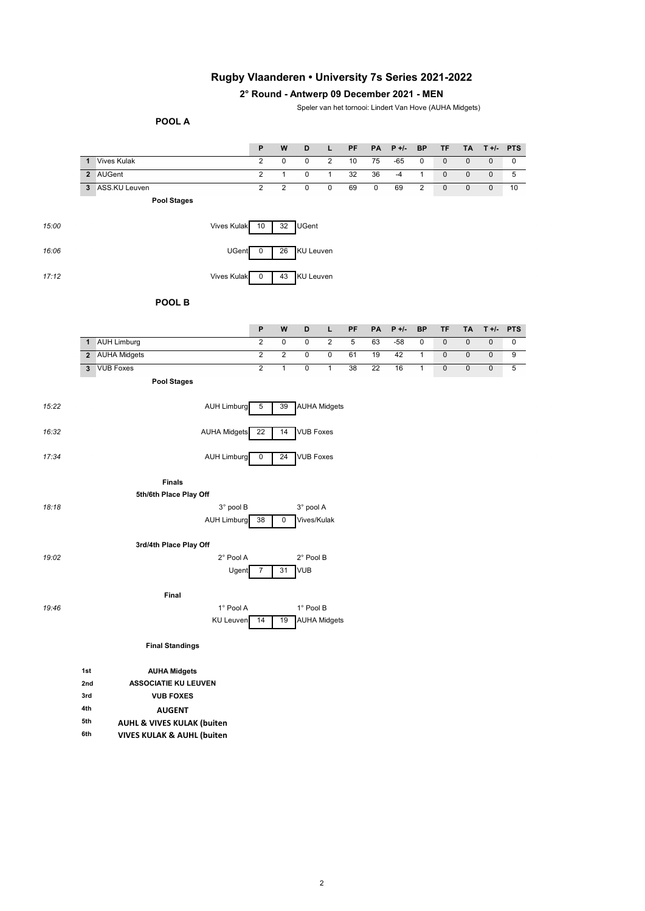## **Rugby Vlaanderen • University 7s Series 2021-2022**

### **2° Round - Antwerp 09 December 2021 - MEN**

Speler van het tornooi: Lindert Van Hove (AUHA Midgets)

#### **POOL A**

|              |                                       | P              | W              | D                   | L                       | PF | PA        | $P +$ /- | <b>BP</b>      | TF        | TA                  | $T +$ /-  | <b>PTS</b>      |
|--------------|---------------------------------------|----------------|----------------|---------------------|-------------------------|----|-----------|----------|----------------|-----------|---------------------|-----------|-----------------|
| $\mathbf{1}$ | <b>Vives Kulak</b>                    | $\overline{c}$ | $\pmb{0}$      | $\mathsf 0$         | $\overline{2}$          | 10 | 75        | $-65$    | $\mathbf 0$    | $\pmb{0}$ | $\pmb{0}$           | $\pmb{0}$ | 0               |
|              | 2 AUGent                              | $\overline{c}$ | $\mathbf{1}$   | 0                   | $\mathbf{1}$            | 32 | 36        | $-4$     | $\mathbf{1}$   | 0         | $\pmb{0}$           | $\pmb{0}$ | $5\overline{)}$ |
|              | 3 ASS.KU Leuven                       | $\overline{2}$ | $\sqrt{2}$     | $\mathbf 0$         | $\mathbf 0$             | 69 | $\pmb{0}$ | 69       | $\overline{c}$ | $\pmb{0}$ | $\pmb{0}$           | $\pmb{0}$ | 10              |
|              | <b>Pool Stages</b>                    |                |                |                     |                         |    |           |          |                |           |                     |           |                 |
|              | <b>Vives Kulak</b>                    | 10             | 32             | <b>UGent</b>        |                         |    |           |          |                |           |                     |           |                 |
|              |                                       | UGent<br>0     | 26             | <b>KU Leuven</b>    |                         |    |           |          |                |           |                     |           |                 |
|              | <b>Vives Kulak</b>                    | 0              | 43             | <b>KU Leuven</b>    |                         |    |           |          |                |           |                     |           |                 |
|              | POOL B                                |                |                |                     |                         |    |           |          |                |           |                     |           |                 |
|              |                                       | P              | W              | D                   | L                       | PF | PA        | $P +/-$  | <b>BP</b>      | TF        | TA                  | $T +$ /-  | <b>PTS</b>      |
| $\mathbf{1}$ | <b>AUH Limburg</b>                    | $\overline{c}$ | $\pmb{0}$      | $\pmb{0}$           | $\overline{\mathbf{c}}$ | 5  | 63        | $-58$    | $\pmb{0}$      | $\pmb{0}$ | $\pmb{0}$           | $\pmb{0}$ | 0               |
|              | 2 AUHA Midgets                        | $\overline{c}$ | $\overline{c}$ | $\pmb{0}$           | $\pmb{0}$               | 61 | 19        | 42       | $\mathbf{1}$   | $\pmb{0}$ | $\mathsf{O}\xspace$ | $\pmb{0}$ | 9               |
|              | 3 VUB Foxes                           | $\overline{2}$ | $\mathbf{1}$   | $\pmb{0}$           | $\mathbf{1}$            | 38 | 22        | 16       | $\mathbf{1}$   | $\pmb{0}$ | $\pmb{0}$           | $\pmb{0}$ | $\overline{5}$  |
|              | <b>Pool Stages</b>                    |                |                |                     |                         |    |           |          |                |           |                     |           |                 |
|              | <b>AUH Limburg</b>                    | 5              | 39             | <b>AUHA Midgets</b> |                         |    |           |          |                |           |                     |           |                 |
|              | <b>AUHA Midgets</b>                   | 22             | 14             | <b>VUB Foxes</b>    |                         |    |           |          |                |           |                     |           |                 |
|              | <b>AUH Limburg</b>                    | 0              | 24             | <b>VUB Foxes</b>    |                         |    |           |          |                |           |                     |           |                 |
|              | <b>Finals</b>                         |                |                |                     |                         |    |           |          |                |           |                     |           |                 |
|              | 5th/6th Place Play Off                |                |                |                     |                         |    |           |          |                |           |                     |           |                 |
|              |                                       | 3° pool B      |                | 3° pool A           |                         |    |           |          |                |           |                     |           |                 |
|              | <b>AUH Limburg</b>                    | 38             | 0              | Vives/Kulak         |                         |    |           |          |                |           |                     |           |                 |
|              | 3rd/4th Place Play Off                |                |                |                     |                         |    |           |          |                |           |                     |           |                 |
|              |                                       | 2° Pool A      |                | 2° Pool B           |                         |    |           |          |                |           |                     |           |                 |
|              |                                       | Ugent<br>7     | 31             | <b>VUB</b>          |                         |    |           |          |                |           |                     |           |                 |
|              | Final                                 |                |                |                     |                         |    |           |          |                |           |                     |           |                 |
|              |                                       | 1° Pool A      |                | 1° Pool B           |                         |    |           |          |                |           |                     |           |                 |
|              |                                       | KU Leuven 14   |                | 19 AUHA Midgets     |                         |    |           |          |                |           |                     |           |                 |
|              | <b>Final Standings</b>                |                |                |                     |                         |    |           |          |                |           |                     |           |                 |
| 1st          | <b>AUHA Midgets</b>                   |                |                |                     |                         |    |           |          |                |           |                     |           |                 |
| 2nd          | <b>ASSOCIATIE KU LEUVEN</b>           |                |                |                     |                         |    |           |          |                |           |                     |           |                 |
| 3rd          | <b>VUB FOXES</b>                      |                |                |                     |                         |    |           |          |                |           |                     |           |                 |
| 4th          | <b>AUGENT</b>                         |                |                |                     |                         |    |           |          |                |           |                     |           |                 |
| 5th          | <b>AUHL &amp; VIVES KULAK (buiten</b> |                |                |                     |                         |    |           |          |                |           |                     |           |                 |
| 6th          | <b>VIVES KULAK &amp; AUHL (buiten</b> |                |                |                     |                         |    |           |          |                |           |                     |           |                 |